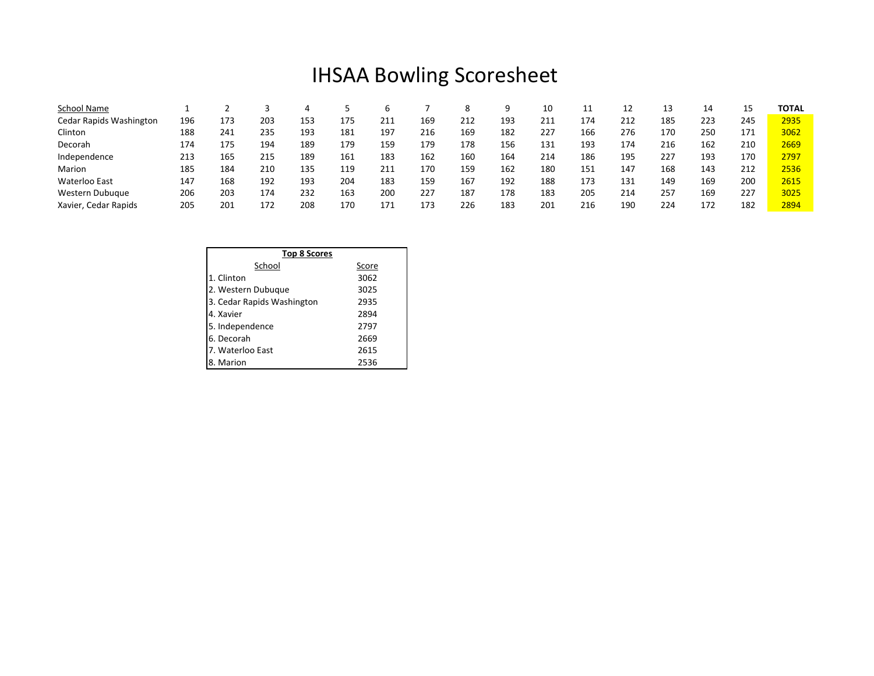## IHSAA Bowling Scoresheet

| School Name             |     |     |     |     |     |     |     |     | a   | 10  | ᆠ   | ᅩ   | 13  | 14  |            | TOTAL |
|-------------------------|-----|-----|-----|-----|-----|-----|-----|-----|-----|-----|-----|-----|-----|-----|------------|-------|
| Cedar Rapids Washington | 196 | 173 | 203 | 153 | 175 | 211 | 169 | 212 | 193 | 211 | 174 | 212 | 185 | 223 | 245        | 2935  |
| Clinton                 | 188 | 241 | 235 | 193 | 181 | 197 | 216 | 169 | 182 | 227 | 166 | 276 | 170 | 250 | 171        | 3062  |
| Decorah                 | 174 | 175 | 194 | 189 | 179 | 159 | 179 | 178 | 156 | 131 | 193 | 174 | 216 | 162 | 210        | 2669  |
| Independence            | 213 | 165 | 215 | 189 | 161 | 183 | 162 | 160 | 164 | 214 | 186 | 195 | 227 | 193 | 170        | 2797  |
| Marion                  | 185 | 184 | 210 | 135 | 119 | 211 | 170 | 159 | 162 | 180 | 151 | 147 | 168 | 143 | 212        | 2536  |
| Waterloo East           | 147 | 168 | 192 | 193 | 204 | 183 | 159 | 167 | 192 | 188 | 173 | 131 | 149 | 169 | <b>200</b> | 2615  |
| Western Dubuque         | 206 | 203 | 174 | 232 | 163 | 200 | 227 | 187 | 178 | 183 | 205 | 214 | 257 | 169 | 227        | 3025  |
| Xavier, Cedar Rapids    | 205 | 201 | 172 | 208 | 170 | 171 | 173 | 226 | 183 | 201 | 216 | 190 | 224 | 172 | 182        | 2894  |

| <b>Top 8 Scores</b>        |       |  |  |  |  |  |  |  |
|----------------------------|-------|--|--|--|--|--|--|--|
| School                     | Score |  |  |  |  |  |  |  |
| 1. Clinton                 | 3062  |  |  |  |  |  |  |  |
| 2. Western Dubuque         | 3025  |  |  |  |  |  |  |  |
| 3. Cedar Rapids Washington | 2935  |  |  |  |  |  |  |  |
| 4. Xavier                  | 2894  |  |  |  |  |  |  |  |
| 5. Independence            | 2797  |  |  |  |  |  |  |  |
| 6. Decorah                 | 2669  |  |  |  |  |  |  |  |
| 7. Waterloo East           | 2615  |  |  |  |  |  |  |  |
| 8. Marion                  | 2536  |  |  |  |  |  |  |  |